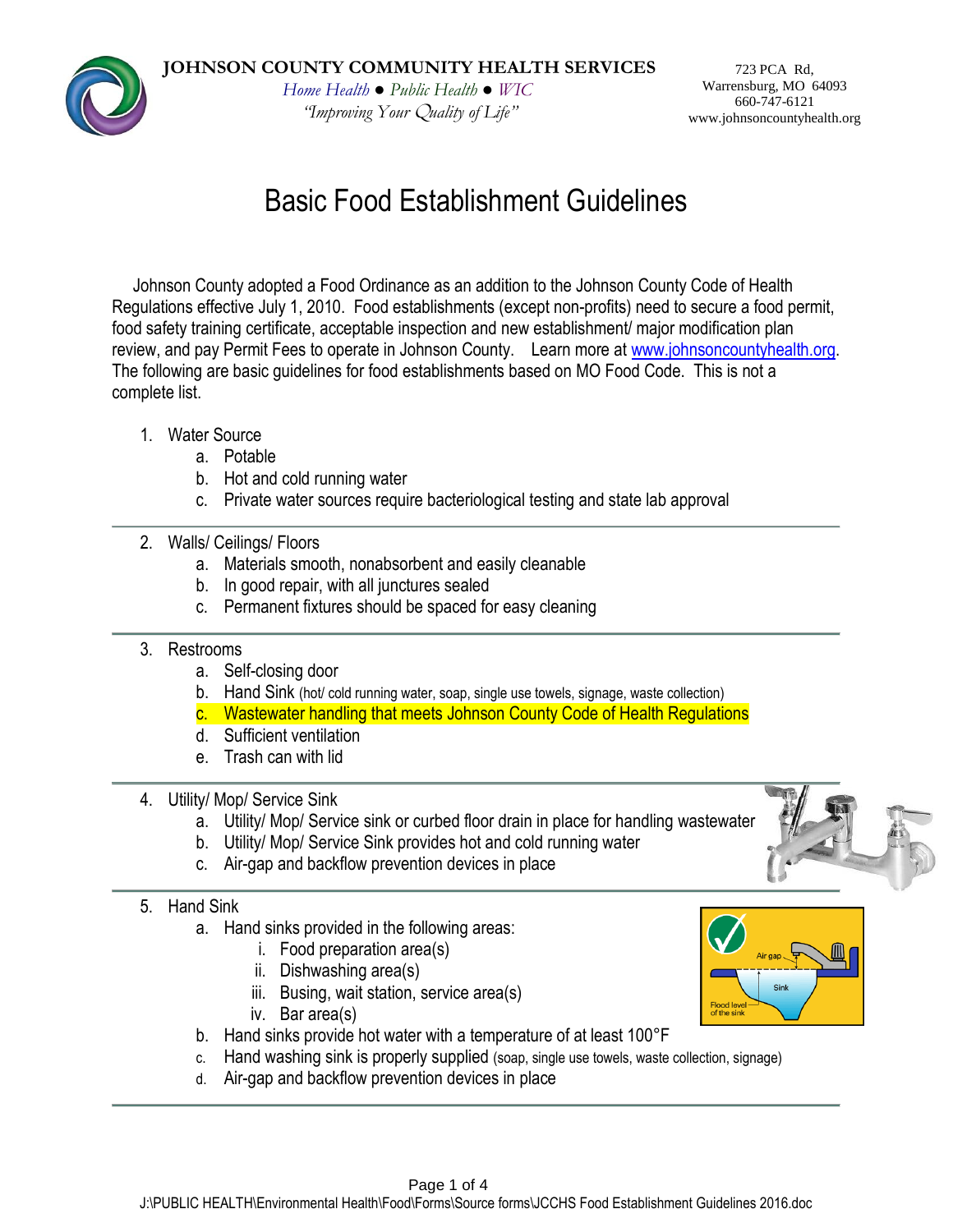*"Improving Your* Q*uality of Life"*

Basic Food Establishment Guidelines

Johnson County adopted a Food Ordinance as an addition to the Johnson County Code of Health Regulations effective July 1, 2010. Food establishments (except non-profits) need to secure a food permit, food safety training certificate, acceptable inspection and new establishment/ major modification plan review, and pay Permit Fees to operate in Johnson County. Learn more at [www.johnsoncountyhealth.org.](http://www.johnsoncountyhealth.org/) The following are basic guidelines for food establishments based on MO Food Code. This is not a complete list.

- 1. Water Source
	- a. Potable
	- b. Hot and cold running water
	- c. Private water sources require bacteriological testing and state lab approval

## 2. Walls/ Ceilings/ Floors

- a. Materials smooth, nonabsorbent and easily cleanable
- b. In good repair, with all junctures sealed
- c. Permanent fixtures should be spaced for easy cleaning

#### 3. Restrooms

- a. Self-closing door
- b. Hand Sink (hot/ cold running water, soap, single use towels, signage, waste collection)
- c. Wastewater handling that meets Johnson County Code of Health Regulations
- d. Sufficient ventilation
- e. Trash can with lid
- 4. Utility/ Mop/ Service Sink
	- a. Utility/ Mop/ Service sink or curbed floor drain in place for handling wastewater
	- b. Utility/ Mop/ Service Sink provides hot and cold running water
	- c. Air-gap and backflow prevention devices in place

#### 5. Hand Sink

- a. Hand sinks provided in the following areas:
	- i. Food preparation area(s)
	- ii. Dishwashing area(s)
	- iii. Busing, wait station, service area(s)
	- iv. Bar area(s)
- b. Hand sinks provide hot water with a temperature of at least 100°F
- c. Hand washing sink is properly supplied (soap, single use towels, waste collection, signage)
- d. Air-gap and backflow prevention devices in place



723 PCA Rd, Warrensburg, MO 64093 660-747-6121 www.johnsoncountyhealth.org



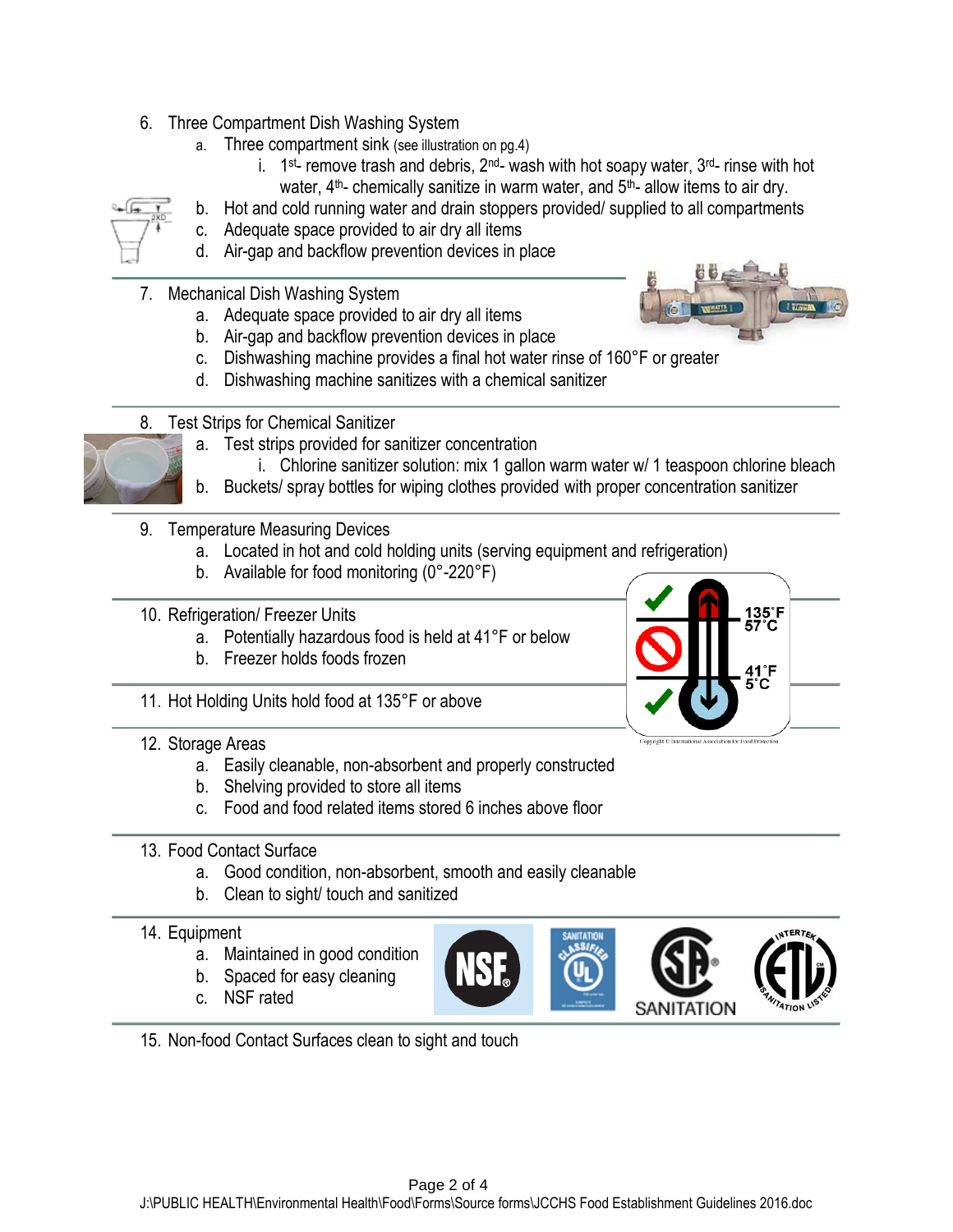- 6. Three Compartment Dish Washing System
	- a. Three compartment sink (see illustration on pg.4)
		- i.  $1$ <sup>st</sup>- remove trash and debris,  $2^{nd}$  wash with hot soapy water,  $3^{nd}$  rinse with hot water,  $4<sup>th</sup>$ - chemically sanitize in warm water, and  $5<sup>th</sup>$ - allow items to air dry.
	- b. Hot and cold running water and drain stoppers provided/ supplied to all compartments
	- c. Adequate space provided to air dry all items
	- d. Air-gap and backflow prevention devices in place
- 7. Mechanical Dish Washing System
	- a. Adequate space provided to air dry all items
	- b. Air-gap and backflow prevention devices in place
	- c. Dishwashing machine provides a final hot water rinse of 160°F or greater
	- d. Dishwashing machine sanitizes with a chemical sanitizer
- 8. Test Strips for Chemical Sanitizer



- i. Chlorine sanitizer solution: mix 1 gallon warm water w/ 1 teaspoon chlorine bleach
- b. Buckets/ spray bottles for wiping clothes provided with proper concentration sanitizer
- 9. Temperature Measuring Devices
	- a. Located in hot and cold holding units (serving equipment and refrigeration)
	- b. Available for food monitoring (0°-220°F)
- 10. Refrigeration/ Freezer Units
	- a. Potentially hazardous food is held at 41°F or below
	- b. Freezer holds foods frozen

135°F 1°F 'n

11. Hot Holding Units hold food at 135°F or above

- 12. Storage Areas
	- a. Easily cleanable, non-absorbent and properly constructed
	- b. Shelving provided to store all items
	- c. Food and food related items stored 6 inches above floor

#### 13. Food Contact Surface

- a. Good condition, non-absorbent, smooth and easily cleanable
- b. Clean to sight/ touch and sanitized

#### 14. Equipment

- a. Maintained in good condition
- b. Spaced for easy cleaning
- c. NSF rated
- 15. Non-food Contact Surfaces clean to sight and touch







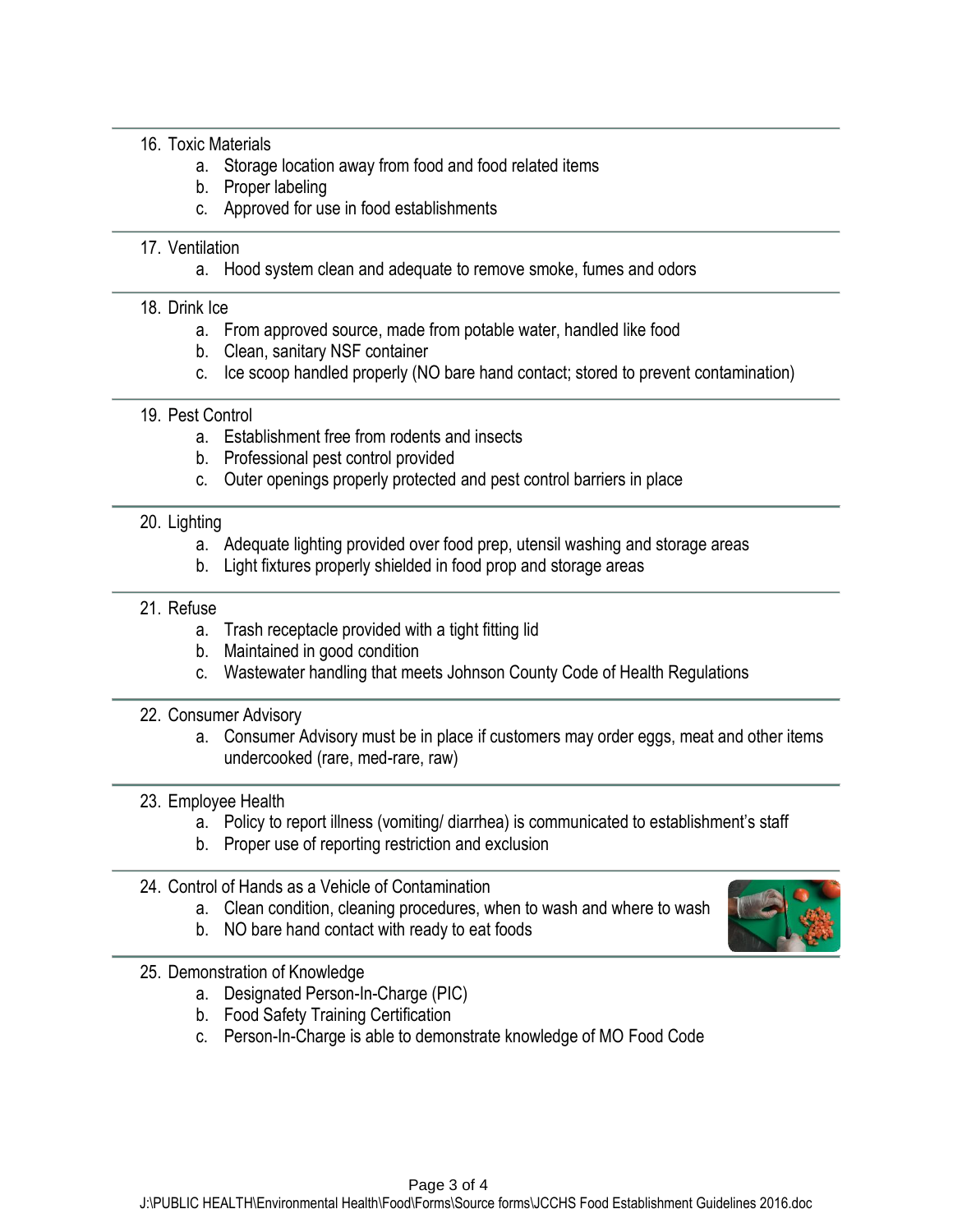#### 16. Toxic Materials

- a. Storage location away from food and food related items
- b. Proper labeling
- c. Approved for use in food establishments

#### 17. Ventilation

a. Hood system clean and adequate to remove smoke, fumes and odors

#### 18. Drink Ice

- a. From approved source, made from potable water, handled like food
- b. Clean, sanitary NSF container
- c. Ice scoop handled properly (NO bare hand contact; stored to prevent contamination)

#### 19. Pest Control

- a. Establishment free from rodents and insects
- b. Professional pest control provided
- c. Outer openings properly protected and pest control barriers in place

### 20. Lighting

- a. Adequate lighting provided over food prep, utensil washing and storage areas
- b. Light fixtures properly shielded in food prop and storage areas

## 21. Refuse

- a. Trash receptacle provided with a tight fitting lid
- b. Maintained in good condition
- c. Wastewater handling that meets Johnson County Code of Health Regulations

#### 22. Consumer Advisory

a. Consumer Advisory must be in place if customers may order eggs, meat and other items undercooked (rare, med-rare, raw)

# 23. Employee Health

- a. Policy to report illness (vomiting/ diarrhea) is communicated to establishment's staff
- b. Proper use of reporting restriction and exclusion
- 24. Control of Hands as a Vehicle of Contamination
	- a. Clean condition, cleaning procedures, when to wash and where to wash
	- b. NO bare hand contact with ready to eat foods

#### 25. Demonstration of Knowledge

- a. Designated Person-In-Charge (PIC)
- b. Food Safety Training Certification
- c. Person-In-Charge is able to demonstrate knowledge of MO Food Code